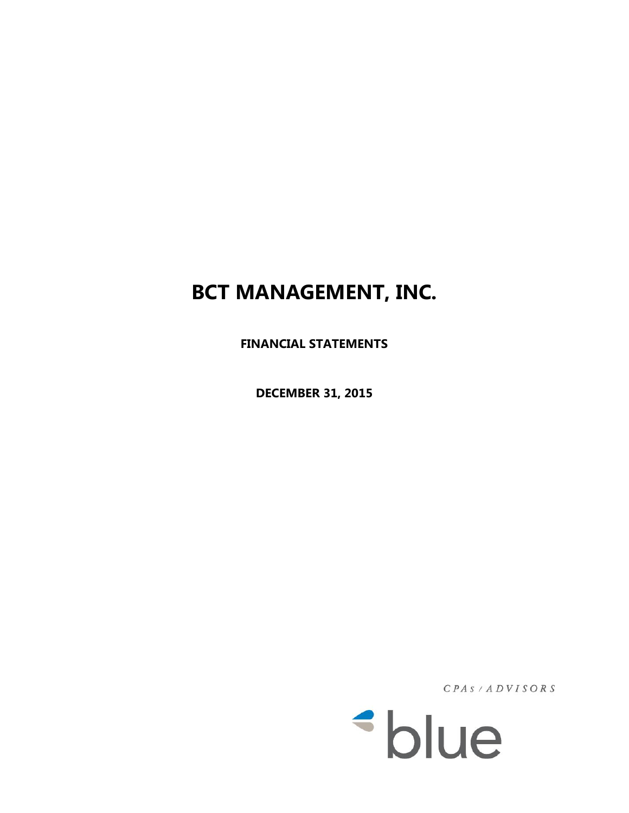**FINANCIAL STATEMENTS**

**DECEMBER 31, 2015**

 $CPAS / ADYISORS$ 

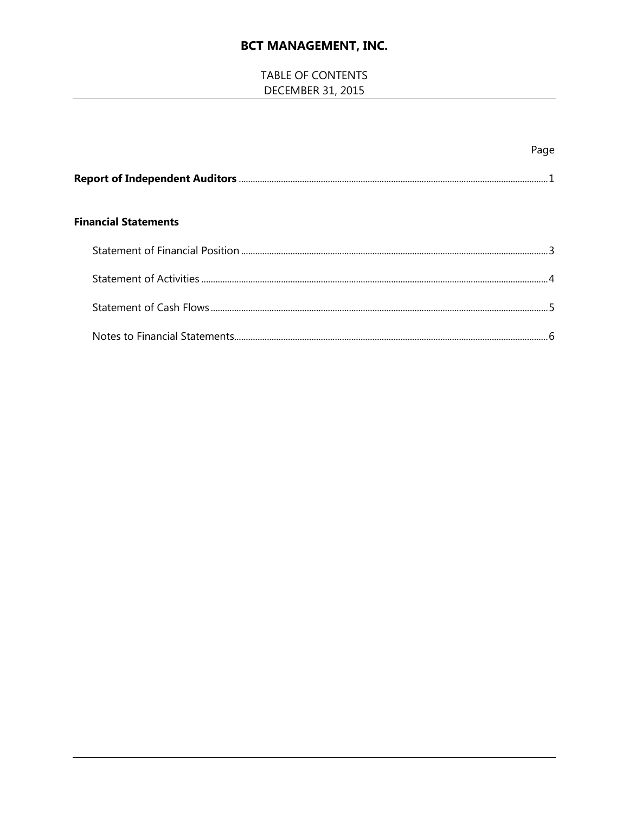# TABLE OF CONTENTS DECEMBER 31, 2015

|                             | Page |
|-----------------------------|------|
|                             |      |
| <b>Financial Statements</b> |      |
|                             |      |
|                             |      |
|                             |      |
|                             |      |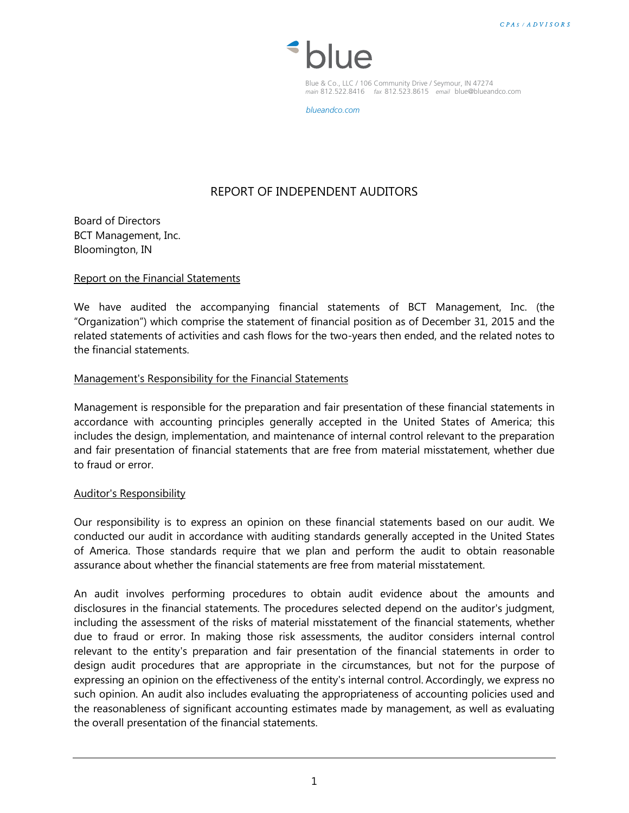

Blue & Co., LLC / 106 Community Drive / Seymour, IN 47274 *main* 812.522.8416 *fax* 812.523.8615 *email* blue@blueandco.com

*blueandco.com*

# REPORT OF INDEPENDENT AUDITORS

Board of Directors BCT Management, Inc. Bloomington, IN

#### Report on the Financial Statements

We have audited the accompanying financial statements of BCT Management, Inc. (the "Organization") which comprise the statement of financial position as of December 31, 2015 and the related statements of activities and cash flows for the two-years then ended, and the related notes to the financial statements.

#### Management's Responsibility for the Financial Statements

Management is responsible for the preparation and fair presentation of these financial statements in accordance with accounting principles generally accepted in the United States of America; this includes the design, implementation, and maintenance of internal control relevant to the preparation and fair presentation of financial statements that are free from material misstatement, whether due to fraud or error.

#### Auditor's Responsibility

Our responsibility is to express an opinion on these financial statements based on our audit. We conducted our audit in accordance with auditing standards generally accepted in the United States of America. Those standards require that we plan and perform the audit to obtain reasonable assurance about whether the financial statements are free from material misstatement.

An audit involves performing procedures to obtain audit evidence about the amounts and disclosures in the financial statements. The procedures selected depend on the auditor's judgment, including the assessment of the risks of material misstatement of the financial statements, whether due to fraud or error. In making those risk assessments, the auditor considers internal control relevant to the entity's preparation and fair presentation of the financial statements in order to design audit procedures that are appropriate in the circumstances, but not for the purpose of expressing an opinion on the effectiveness of the entity's internal control. Accordingly, we express no such opinion. An audit also includes evaluating the appropriateness of accounting policies used and the reasonableness of significant accounting estimates made by management, as well as evaluating the overall presentation of the financial statements.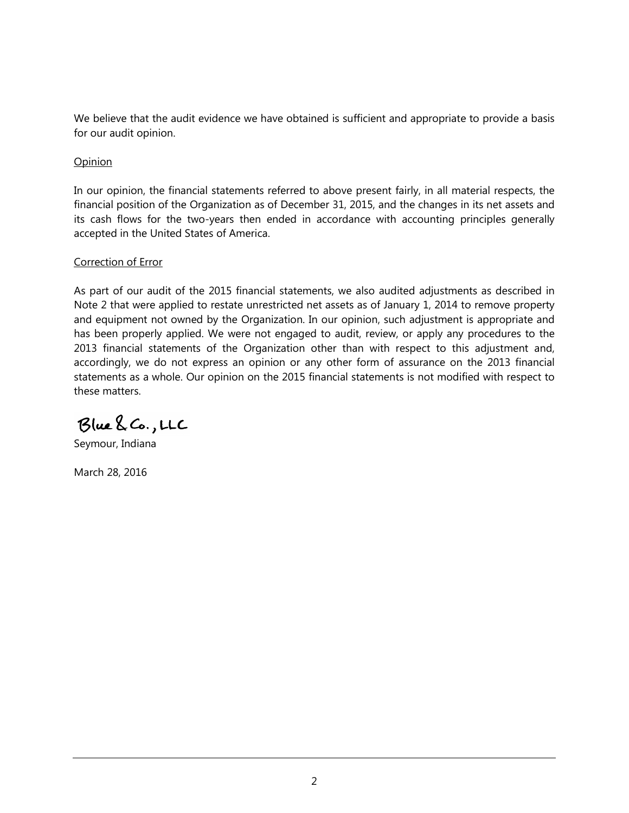We believe that the audit evidence we have obtained is sufficient and appropriate to provide a basis for our audit opinion.

## Opinion

In our opinion, the financial statements referred to above present fairly, in all material respects, the financial position of the Organization as of December 31, 2015, and the changes in its net assets and its cash flows for the two-years then ended in accordance with accounting principles generally accepted in the United States of America.

## Correction of Error

As part of our audit of the 2015 financial statements, we also audited adjustments as described in Note 2 that were applied to restate unrestricted net assets as of January 1, 2014 to remove property and equipment not owned by the Organization. In our opinion, such adjustment is appropriate and has been properly applied. We were not engaged to audit, review, or apply any procedures to the 2013 financial statements of the Organization other than with respect to this adjustment and, accordingly, we do not express an opinion or any other form of assurance on the 2013 financial statements as a whole. Our opinion on the 2015 financial statements is not modified with respect to these matters.

Blue & Co., LLC

Seymour, Indiana

March 28, 2016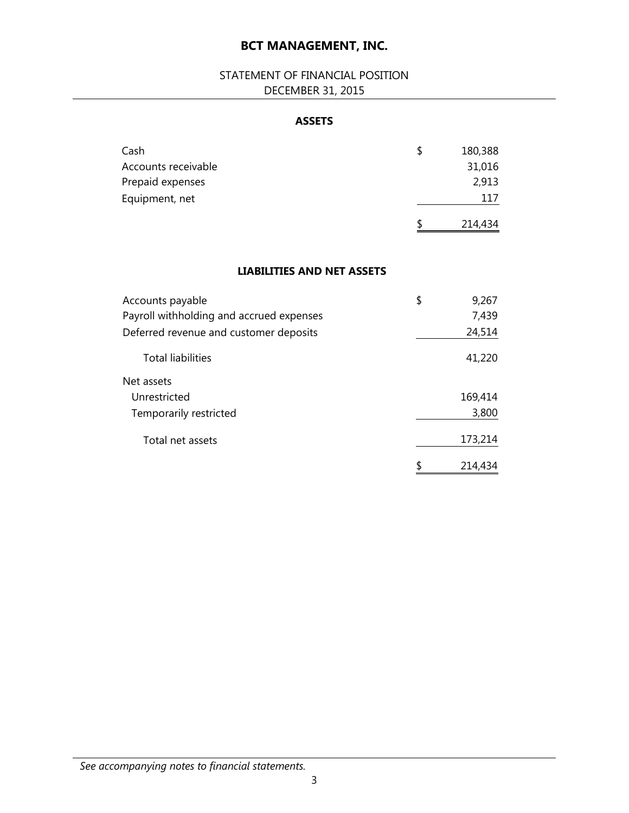# STATEMENT OF FINANCIAL POSITION DECEMBER 31, 2015

## **ASSETS**

| Cash                | S  | 180,388 |
|---------------------|----|---------|
| Accounts receivable |    | 31,016  |
| Prepaid expenses    |    | 2,913   |
| Equipment, net      |    | 117     |
|                     | -S | 214,434 |

## **LIABILITIES AND NET ASSETS**

| Accounts payable                         | \$<br>9,267   |
|------------------------------------------|---------------|
| Payroll withholding and accrued expenses | 7,439         |
| Deferred revenue and customer deposits   | 24,514        |
| <b>Total liabilities</b>                 | 41,220        |
| Net assets                               |               |
| Unrestricted                             | 169,414       |
| Temporarily restricted                   | 3,800         |
| Total net assets                         | 173,214       |
|                                          | \$<br>214,434 |

# *See accompanying notes to financial statements.*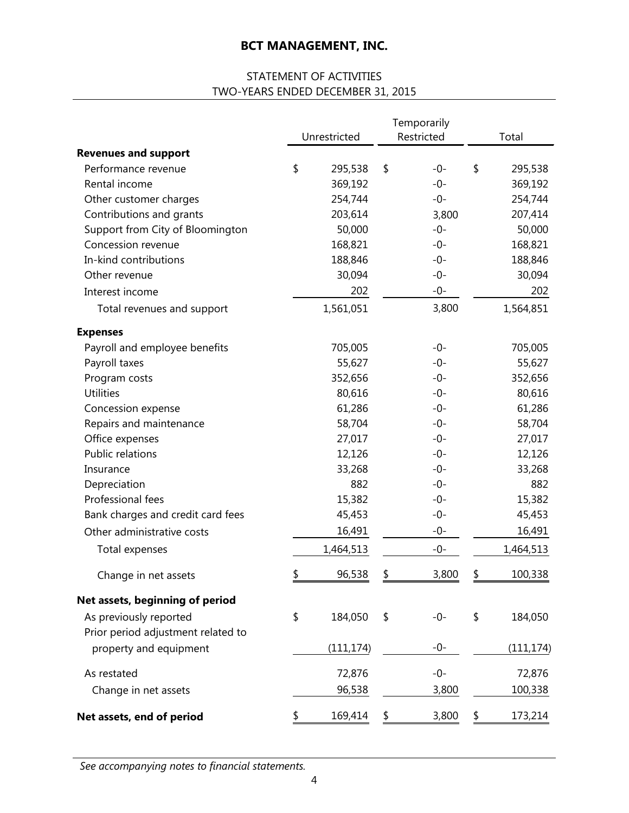# STATEMENT OF ACTIVITIES TWO-YEARS ENDED DECEMBER 31, 2015

|                                    | Unrestricted  | Temporarily<br>Restricted | Total         |
|------------------------------------|---------------|---------------------------|---------------|
| <b>Revenues and support</b>        |               |                           |               |
| Performance revenue                | \$<br>295,538 | \$<br>$-0-$               | \$<br>295,538 |
| Rental income                      | 369,192       | $-0-$                     | 369,192       |
| Other customer charges             | 254,744       | $-0-$                     | 254,744       |
| Contributions and grants           | 203,614       | 3,800                     | 207,414       |
| Support from City of Bloomington   | 50,000        | $-0-$                     | 50,000        |
| Concession revenue                 | 168,821       | $-0-$                     | 168,821       |
| In-kind contributions              | 188,846       | -0-                       | 188,846       |
| Other revenue                      | 30,094        | $-0-$                     | 30,094        |
| Interest income                    | 202           | $-0-$                     | 202           |
| Total revenues and support         | 1,561,051     | 3,800                     | 1,564,851     |
| <b>Expenses</b>                    |               |                           |               |
| Payroll and employee benefits      | 705,005       | -0-                       | 705,005       |
| Payroll taxes                      | 55,627        | $-0-$                     | 55,627        |
| Program costs                      | 352,656       | $-0-$                     | 352,656       |
| <b>Utilities</b>                   | 80,616        | $-0-$                     | 80,616        |
| Concession expense                 | 61,286        | $-0-$                     | 61,286        |
| Repairs and maintenance            | 58,704        | $-0-$                     | 58,704        |
| Office expenses                    | 27,017        | $-0-$                     | 27,017        |
| Public relations                   | 12,126        | -0-                       | 12,126        |
| Insurance                          | 33,268        | -0-                       | 33,268        |
| Depreciation                       | 882           | $-0-$                     | 882           |
| Professional fees                  | 15,382        | -0-                       | 15,382        |
| Bank charges and credit card fees  | 45,453        | -0-                       | 45,453        |
| Other administrative costs         | 16,491        | $-0-$                     | 16,491        |
| Total expenses                     | 1,464,513     | $-0-$                     | 1,464,513     |
| Change in net assets               | \$<br>96,538  | 3,800                     | 100,338       |
| Net assets, beginning of period    |               |                           |               |
| As previously reported             | \$<br>184,050 | \$<br>$-0-$               | \$<br>184,050 |
| Prior period adjustment related to |               |                           |               |
| property and equipment             | (111, 174)    | -0-                       | (111, 174)    |
| As restated                        | 72,876        | $-0-$                     | 72,876        |
| Change in net assets               | 96,538        | 3,800                     | 100,338       |
| Net assets, end of period          | \$<br>169,414 | \$<br>3,800               | \$<br>173,214 |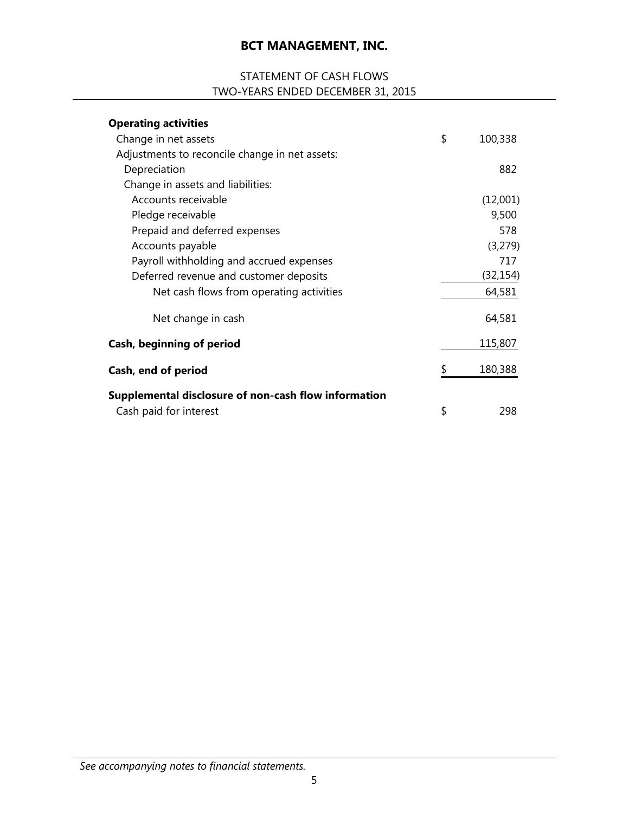# STATEMENT OF CASH FLOWS TWO-YEARS ENDED DECEMBER 31, 2015

| <b>Operating activities</b>                          |               |
|------------------------------------------------------|---------------|
| Change in net assets                                 | \$<br>100,338 |
| Adjustments to reconcile change in net assets:       |               |
| Depreciation                                         | 882           |
| Change in assets and liabilities:                    |               |
| Accounts receivable                                  | (12,001)      |
| Pledge receivable                                    | 9,500         |
| Prepaid and deferred expenses                        | 578           |
| Accounts payable                                     | (3,279)       |
| Payroll withholding and accrued expenses             | 717           |
| Deferred revenue and customer deposits               | (32,154)      |
| Net cash flows from operating activities             | 64,581        |
| Net change in cash                                   | 64,581        |
| Cash, beginning of period                            | 115,807       |
| Cash, end of period                                  | \$<br>180,388 |
| Supplemental disclosure of non-cash flow information |               |
| Cash paid for interest                               | \$<br>298     |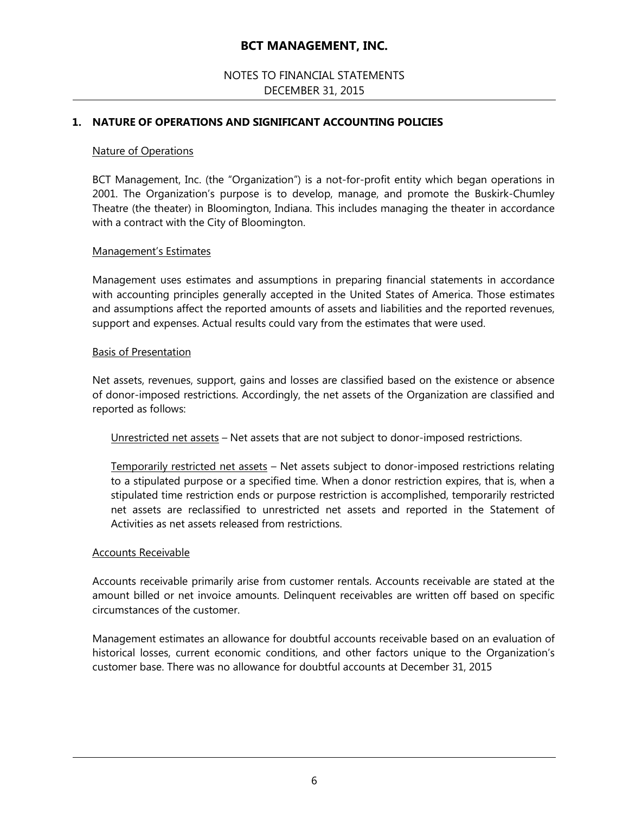## NOTES TO FINANCIAL STATEMENTS DECEMBER 31, 2015

## **1. NATURE OF OPERATIONS AND SIGNIFICANT ACCOUNTING POLICIES**

#### Nature of Operations

BCT Management, Inc. (the "Organization") is a not-for-profit entity which began operations in 2001. The Organization's purpose is to develop, manage, and promote the Buskirk-Chumley Theatre (the theater) in Bloomington, Indiana. This includes managing the theater in accordance with a contract with the City of Bloomington.

#### Management's Estimates

Management uses estimates and assumptions in preparing financial statements in accordance with accounting principles generally accepted in the United States of America. Those estimates and assumptions affect the reported amounts of assets and liabilities and the reported revenues, support and expenses. Actual results could vary from the estimates that were used.

#### Basis of Presentation

Net assets, revenues, support, gains and losses are classified based on the existence or absence of donor-imposed restrictions. Accordingly, the net assets of the Organization are classified and reported as follows:

Unrestricted net assets – Net assets that are not subject to donor-imposed restrictions.

Temporarily restricted net assets – Net assets subject to donor-imposed restrictions relating to a stipulated purpose or a specified time. When a donor restriction expires, that is, when a stipulated time restriction ends or purpose restriction is accomplished, temporarily restricted net assets are reclassified to unrestricted net assets and reported in the Statement of Activities as net assets released from restrictions.

#### Accounts Receivable

Accounts receivable primarily arise from customer rentals. Accounts receivable are stated at the amount billed or net invoice amounts. Delinquent receivables are written off based on specific circumstances of the customer.

Management estimates an allowance for doubtful accounts receivable based on an evaluation of historical losses, current economic conditions, and other factors unique to the Organization's customer base. There was no allowance for doubtful accounts at December 31, 2015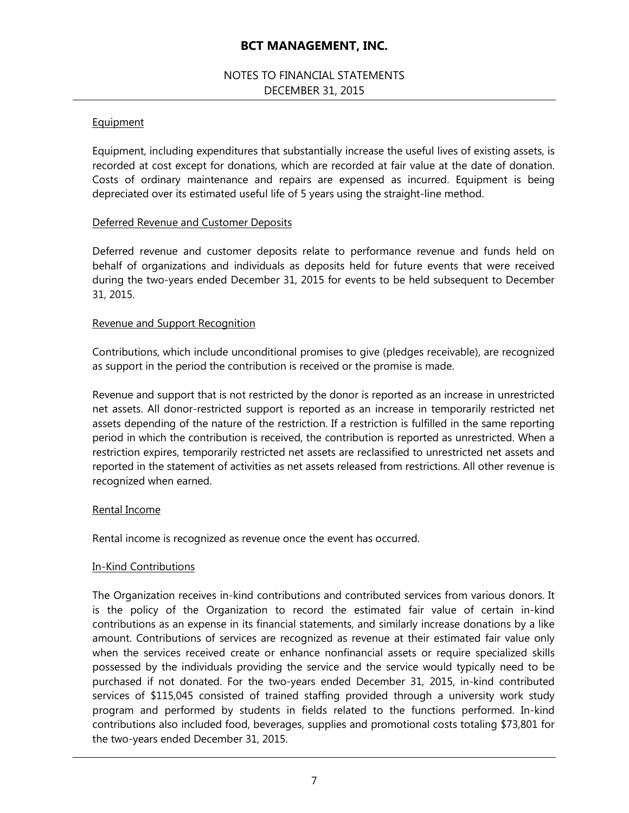## NOTES TO FINANCIAL STATEMENTS DECEMBER 31, 2015

## **Equipment**

Equipment, including expenditures that substantially increase the useful lives of existing assets, is recorded at cost except for donations, which are recorded at fair value at the date of donation. Costs of ordinary maintenance and repairs are expensed as incurred. Equipment is being depreciated over its estimated useful life of 5 years using the straight-line method.

## Deferred Revenue and Customer Deposits

Deferred revenue and customer deposits relate to performance revenue and funds held on behalf of organizations and individuals as deposits held for future events that were received during the two-years ended December 31, 2015 for events to be held subsequent to December 31, 2015.

## Revenue and Support Recognition

Contributions, which include unconditional promises to give (pledges receivable), are recognized as support in the period the contribution is received or the promise is made.

Revenue and support that is not restricted by the donor is reported as an increase in unrestricted net assets. All donor-restricted support is reported as an increase in temporarily restricted net assets depending of the nature of the restriction. If a restriction is fulfilled in the same reporting period in which the contribution is received, the contribution is reported as unrestricted. When a restriction expires, temporarily restricted net assets are reclassified to unrestricted net assets and reported in the statement of activities as net assets released from restrictions. All other revenue is recognized when earned.

#### Rental Income

Rental income is recognized as revenue once the event has occurred.

#### In-Kind Contributions

The Organization receives in-kind contributions and contributed services from various donors. It is the policy of the Organization to record the estimated fair value of certain in-kind contributions as an expense in its financial statements, and similarly increase donations by a like amount. Contributions of services are recognized as revenue at their estimated fair value only when the services received create or enhance nonfinancial assets or require specialized skills possessed by the individuals providing the service and the service would typically need to be purchased if not donated. For the two-years ended December 31, 2015, in-kind contributed services of \$115,045 consisted of trained staffing provided through a university work study program and performed by students in fields related to the functions performed. In-kind contributions also included food, beverages, supplies and promotional costs totaling \$73,801 for the two-years ended December 31, 2015.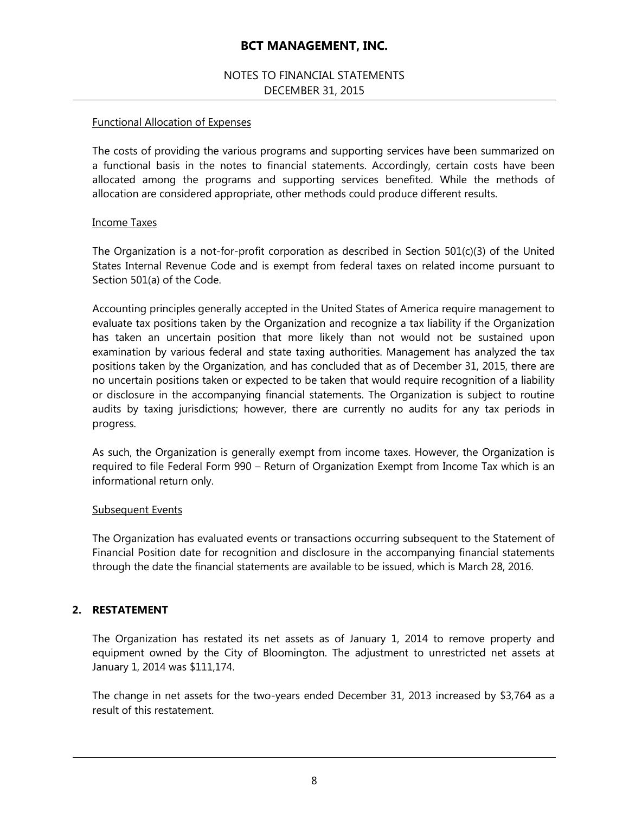## NOTES TO FINANCIAL STATEMENTS DECEMBER 31, 2015

## Functional Allocation of Expenses

The costs of providing the various programs and supporting services have been summarized on a functional basis in the notes to financial statements. Accordingly, certain costs have been allocated among the programs and supporting services benefited. While the methods of allocation are considered appropriate, other methods could produce different results.

#### Income Taxes

The Organization is a not-for-profit corporation as described in Section  $501(c)(3)$  of the United States Internal Revenue Code and is exempt from federal taxes on related income pursuant to Section 501(a) of the Code.

Accounting principles generally accepted in the United States of America require management to evaluate tax positions taken by the Organization and recognize a tax liability if the Organization has taken an uncertain position that more likely than not would not be sustained upon examination by various federal and state taxing authorities. Management has analyzed the tax positions taken by the Organization, and has concluded that as of December 31, 2015, there are no uncertain positions taken or expected to be taken that would require recognition of a liability or disclosure in the accompanying financial statements. The Organization is subject to routine audits by taxing jurisdictions; however, there are currently no audits for any tax periods in progress.

As such, the Organization is generally exempt from income taxes. However, the Organization is required to file Federal Form 990 – Return of Organization Exempt from Income Tax which is an informational return only.

#### Subsequent Events

The Organization has evaluated events or transactions occurring subsequent to the Statement of Financial Position date for recognition and disclosure in the accompanying financial statements through the date the financial statements are available to be issued, which is March 28, 2016.

## **2. RESTATEMENT**

The Organization has restated its net assets as of January 1, 2014 to remove property and equipment owned by the City of Bloomington. The adjustment to unrestricted net assets at January 1, 2014 was \$111,174.

The change in net assets for the two-years ended December 31, 2013 increased by \$3,764 as a result of this restatement.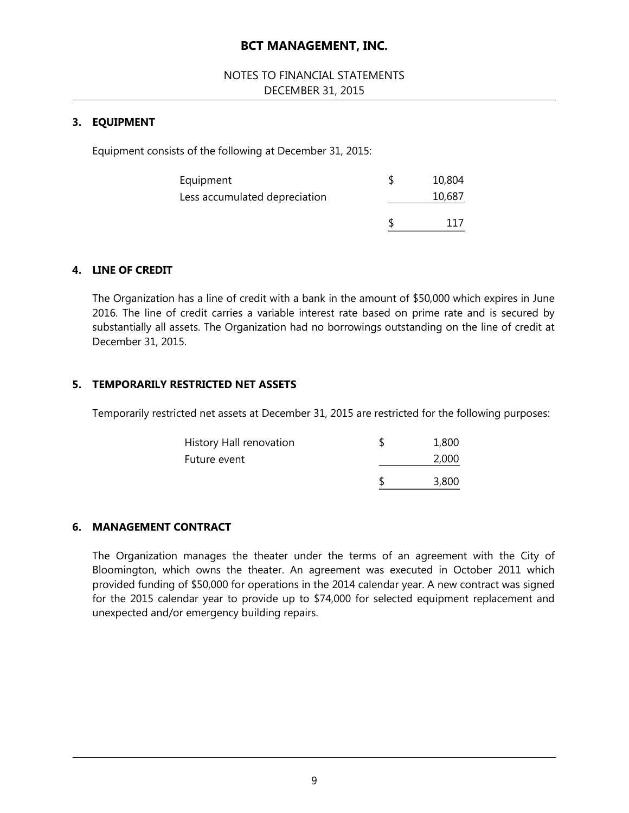## NOTES TO FINANCIAL STATEMENTS DECEMBER 31, 2015

## **3. EQUIPMENT**

Equipment consists of the following at December 31, 2015:

| Equipment                     | 10,804 |
|-------------------------------|--------|
| Less accumulated depreciation | 10,687 |
|                               |        |
|                               |        |

## **4. LINE OF CREDIT**

The Organization has a line of credit with a bank in the amount of \$50,000 which expires in June 2016. The line of credit carries a variable interest rate based on prime rate and is secured by substantially all assets. The Organization had no borrowings outstanding on the line of credit at December 31, 2015.

#### **5. TEMPORARILY RESTRICTED NET ASSETS**

Temporarily restricted net assets at December 31, 2015 are restricted for the following purposes:

| History Hall renovation | 1,800<br>2,000 |
|-------------------------|----------------|
| Future event            | 3,800          |

#### **6. MANAGEMENT CONTRACT**

The Organization manages the theater under the terms of an agreement with the City of Bloomington, which owns the theater. An agreement was executed in October 2011 which provided funding of \$50,000 for operations in the 2014 calendar year. A new contract was signed for the 2015 calendar year to provide up to \$74,000 for selected equipment replacement and unexpected and/or emergency building repairs.